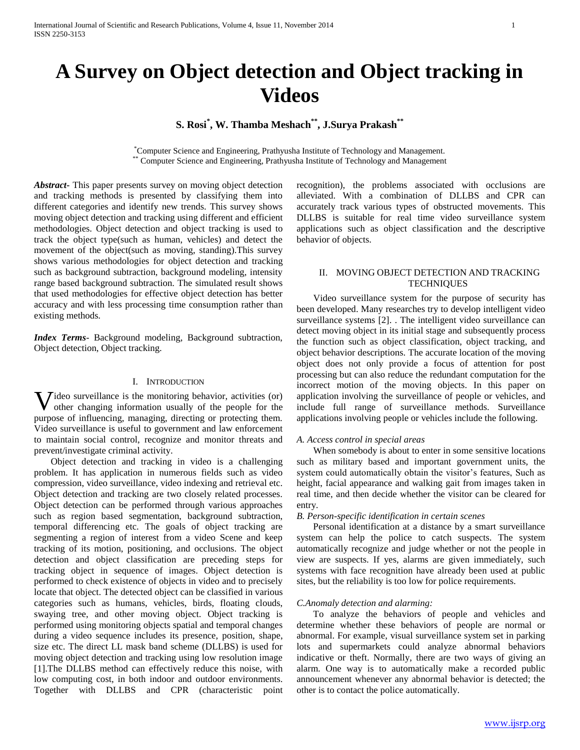# **A Survey on Object detection and Object tracking in Videos**

# **S. Rosi\* , W. Thamba Meshach\*\*, J.Surya Prakash\*\***

\*Computer Science and Engineering, Prathyusha Institute of Technology and Management. \*\* Computer Science and Engineering, Prathyusha Institute of Technology and Management

*Abstract***-** This paper presents survey on moving object detection and tracking methods is presented by classifying them into different categories and identify new trends. This survey shows moving object detection and tracking using different and efficient methodologies. Object detection and object tracking is used to track the object type(such as human, vehicles) and detect the movement of the object(such as moving, standing).This survey shows various methodologies for object detection and tracking such as background subtraction, background modeling, intensity range based background subtraction. The simulated result shows that used methodologies for effective object detection has better accuracy and with less processing time consumption rather than existing methods*.*

*Index Terms*- Background modeling, Background subtraction, Object detection, Object tracking.

#### I. INTRODUCTION

**V** ideo surveillance is the monitoring behavior, activities (or) other changing information usually of the people for the other changing information usually of the people for the purpose of influencing, managing, directing or protecting them. Video surveillance is useful to government and law enforcement to maintain social control, recognize and monitor threats and prevent/investigate criminal activity.

 Object detection and tracking in video is a challenging problem. It has application in numerous fields such as video compression, video surveillance, video indexing and retrieval etc. Object detection and tracking are two closely related processes. Object detection can be performed through various approaches such as region based segmentation, background subtraction, temporal differencing etc. The goals of object tracking are segmenting a region of interest from a video Scene and keep tracking of its motion, positioning, and occlusions. The object detection and object classification are preceding steps for tracking object in sequence of images. Object detection is performed to check existence of objects in video and to precisely locate that object. The detected object can be classified in various categories such as humans, vehicles, birds, floating clouds, swaying tree, and other moving object. Object tracking is performed using monitoring objects spatial and temporal changes during a video sequence includes its presence, position, shape, size etc. The direct LL mask band scheme (DLLBS) is used for moving object detection and tracking using low resolution image [1].The DLLBS method can effectively reduce this noise, with low computing cost, in both indoor and outdoor environments. Together with DLLBS and CPR (characteristic point

recognition), the problems associated with occlusions are alleviated. With a combination of DLLBS and CPR can accurately track various types of obstructed movements. This DLLBS is suitable for real time video surveillance system applications such as object classification and the descriptive behavior of objects.

# II. MOVING OBJECT DETECTION AND TRACKING **TECHNIQUES**

 Video surveillance system for the purpose of security has been developed. Many researches try to develop intelligent video surveillance systems [2]. . The intelligent video surveillance can detect moving object in its initial stage and subsequently process the function such as object classification, object tracking, and object behavior descriptions. The accurate location of the moving object does not only provide a focus of attention for post processing but can also reduce the redundant computation for the incorrect motion of the moving objects. In this paper on application involving the surveillance of people or vehicles, and include full range of surveillance methods. Surveillance applications involving people or vehicles include the following.

# *A. Access control in special areas*

 When somebody is about to enter in some sensitive locations such as military based and important government units, the system could automatically obtain the visitor's features, Such as height, facial appearance and walking gait from images taken in real time, and then decide whether the visitor can be cleared for entry.

### *B. Person-specific identification in certain scenes*

 Personal identification at a distance by a smart surveillance system can help the police to catch suspects. The system automatically recognize and judge whether or not the people in view are suspects. If yes, alarms are given immediately, such systems with face recognition have already been used at public sites, but the reliability is too low for police requirements.

#### *C.Anomaly detection and alarming:*

 To analyze the behaviors of people and vehicles and determine whether these behaviors of people are normal or abnormal. For example, visual surveillance system set in parking lots and supermarkets could analyze abnormal behaviors indicative or theft. Normally, there are two ways of giving an alarm. One way is to automatically make a recorded public announcement whenever any abnormal behavior is detected; the other is to contact the police automatically.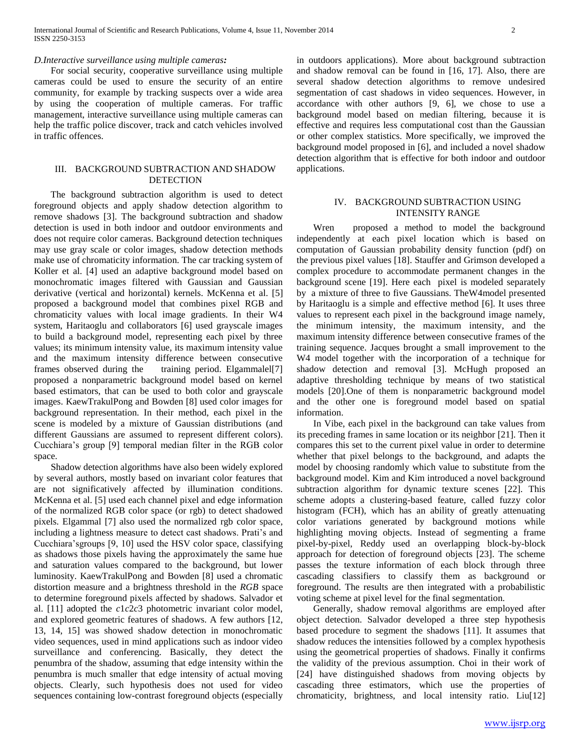### *D.Interactive surveillance using multiple cameras:*

 For social security, cooperative surveillance using multiple cameras could be used to ensure the security of an entire community, for example by tracking suspects over a wide area by using the cooperation of multiple cameras. For traffic management, interactive surveillance using multiple cameras can help the traffic police discover, track and catch vehicles involved in traffic offences.

#### III. BACKGROUND SUBTRACTION AND SHADOW **DETECTION**

 The background subtraction algorithm is used to detect foreground objects and apply shadow detection algorithm to remove shadows [3]. The background subtraction and shadow detection is used in both indoor and outdoor environments and does not require color cameras. Background detection techniques may use gray scale or color images, shadow detection methods make use of chromaticity information. The car tracking system of Koller et al. [4] used an adaptive background model based on monochromatic images filtered with Gaussian and Gaussian derivative (vertical and horizontal) kernels. McKenna et al. [5] proposed a background model that combines pixel RGB and chromaticity values with local image gradients. In their W4 system, Haritaoglu and collaborators [6] used grayscale images to build a background model, representing each pixel by three values; its minimum intensity value, its maximum intensity value and the maximum intensity difference between consecutive frames observed during the training period. Elgammalel[7] proposed a nonparametric background model based on kernel based estimators, that can be used to both color and grayscale images. KaewTrakulPong and Bowden [8] used color images for background representation. In their method, each pixel in the scene is modeled by a mixture of Gaussian distributions (and different Gaussians are assumed to represent different colors). Cucchiara's group [9] temporal median filter in the RGB color space.

 Shadow detection algorithms have also been widely explored by several authors, mostly based on invariant color features that are not significatively affected by illumination conditions. McKenna et al. [5] used each channel pixel and edge information of the normalized RGB color space (or rgb) to detect shadowed pixels. Elgammal [7] also used the normalized rgb color space, including a lightness measure to detect cast shadows. Prati's and Cucchiara'sgroups [9, 10] used the HSV color space, classifying as shadows those pixels having the approximately the same hue and saturation values compared to the background, but lower luminosity. KaewTrakulPong and Bowden [8] used a chromatic distortion measure and a brightness threshold in the *RGB* space to determine foreground pixels affected by shadows. Salvador et al. [11] adopted the *c*1*c*2*c*3 photometric invariant color model, and explored geometric features of shadows. A few authors [12, 13, 14, 15] was showed shadow detection in monochromatic video sequences, used in mind applications such as indoor video surveillance and conferencing. Basically, they detect the penumbra of the shadow, assuming that edge intensity within the penumbra is much smaller that edge intensity of actual moving objects. Clearly, such hypothesis does not used for video sequences containing low-contrast foreground objects (especially

in outdoors applications). More about background subtraction and shadow removal can be found in [16, 17]. Also, there are several shadow detection algorithms to remove undesired segmentation of cast shadows in video sequences. However, in accordance with other authors [9, 6], we chose to use a background model based on median filtering, because it is effective and requires less computational cost than the Gaussian or other complex statistics. More specifically, we improved the background model proposed in [6], and included a novel shadow detection algorithm that is effective for both indoor and outdoor applications.

# IV. BACKGROUND SUBTRACTION USING INTENSITY RANGE

 Wren proposed a method to model the background independently at each pixel location which is based on computation of Gaussian probability density function (pdf) on the previous pixel values [18]. Stauffer and Grimson developed a complex procedure to accommodate permanent changes in the background scene [19]. Here each pixel is modeled separately by a mixture of three to five Gaussians. TheW4model presented by Haritaoglu is a simple and effective method [6]. It uses three values to represent each pixel in the background image namely, the minimum intensity, the maximum intensity, and the maximum intensity difference between consecutive frames of the training sequence. Jacques brought a small improvement to the W4 model together with the incorporation of a technique for shadow detection and removal [3]. McHugh proposed an adaptive thresholding technique by means of two statistical models [20].One of them is nonparametric background model and the other one is foreground model based on spatial information.

 In Vibe, each pixel in the background can take values from its preceding frames in same location or its neighbor [21]. Then it compares this set to the current pixel value in order to determine whether that pixel belongs to the background, and adapts the model by choosing randomly which value to substitute from the background model. Kim and Kim introduced a novel background subtraction algorithm for dynamic texture scenes [22]. This scheme adopts a clustering-based feature, called fuzzy color histogram (FCH), which has an ability of greatly attenuating color variations generated by background motions while highlighting moving objects. Instead of segmenting a frame pixel-by-pixel, Reddy used an overlapping block-by-block approach for detection of foreground objects [23]. The scheme passes the texture information of each block through three cascading classifiers to classify them as background or foreground. The results are then integrated with a probabilistic voting scheme at pixel level for the final segmentation.

 Generally, shadow removal algorithms are employed after object detection. Salvador developed a three step hypothesis based procedure to segment the shadows [11]. It assumes that shadow reduces the intensities followed by a complex hypothesis using the geometrical properties of shadows. Finally it confirms the validity of the previous assumption. Choi in their work of [24] have distinguished shadows from moving objects by cascading three estimators, which use the properties of chromaticity, brightness, and local intensity ratio. Liu[12]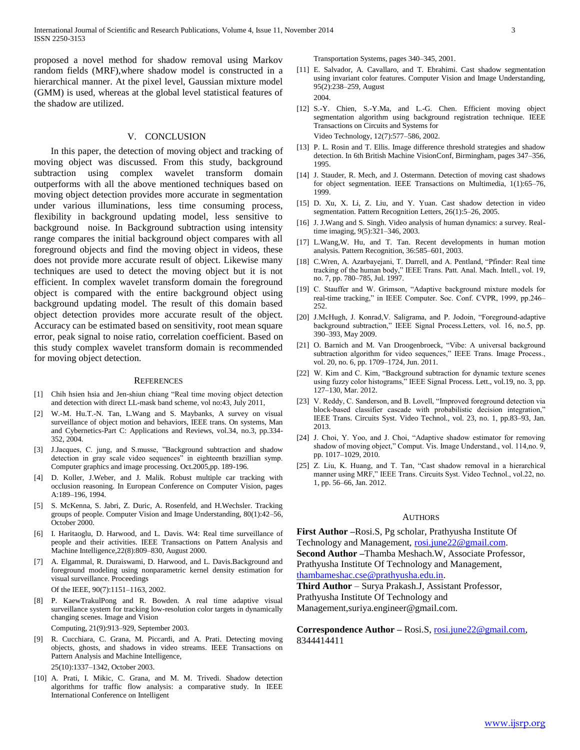proposed a novel method for shadow removal using Markov random fields (MRF),where shadow model is constructed in a hierarchical manner. At the pixel level, Gaussian mixture model (GMM) is used, whereas at the global level statistical features of the shadow are utilized.

#### V. CONCLUSION

 In this paper, the detection of moving object and tracking of moving object was discussed. From this study, background subtraction using complex wavelet transform domain outperforms with all the above mentioned techniques based on moving object detection provides more accurate in segmentation under various illuminations, less time consuming process, flexibility in background updating model, less sensitive to background noise. In Background subtraction using intensity range compares the initial background object compares with all foreground objects and find the moving object in videos, these does not provide more accurate result of object. Likewise many techniques are used to detect the moving object but it is not efficient. In complex wavelet transform domain the foreground object is compared with the entire background object using background updating model. The result of this domain based object detection provides more accurate result of the object. Accuracy can be estimated based on sensitivity, root mean square error, peak signal to noise ratio, correlation coefficient. Based on this study complex wavelet transform domain is recommended for moving object detection.

#### **REFERENCES**

- [1] Chih hsien hsia and Jen-shiun chiang "Real time moving object detection and detection with direct LL-mask band scheme, vol no:43, July 2011,
- [2] W.-M. Hu.T.-N. Tan, L.Wang and S. Maybanks, A survey on visual surveillance of object motion and behaviors, IEEE trans. On systems, Man and Cybernetics-Part C: Applications and Reviews, vol.34, no.3, pp.334- 352, 2004.
- [3] J.Jacques, C. jung, and S.musse, "Background subtraction and shadow detection in gray scale video sequences" in eighteenth brazillian symp. Computer graphics and image processing. Oct.2005,pp. 189-196.
- [4] D. Koller, J.Weber, and J. Malik. Robust multiple car tracking with occlusion reasoning. In European Conference on Computer Vision, pages A:189–196, 1994.
- [5] S. McKenna, S. Jabri, Z. Duric, A. Rosenfeld, and H.Wechsler. Tracking groups of people. Computer Vision and Image Understanding, 80(1):42–56, October 2000.
- [6] I. Haritaoglu, D. Harwood, and L. Davis. W4: Real time surveillance of people and their activities. IEEE Transactions on Pattern Analysis and Machine Intelligence,22(8):809–830, August 2000.
- [7] A. Elgammal, R. Duraiswami, D. Harwood, and L. Davis.Background and foreground modeling using nonparametric kernel density estimation for visual surveillance. Proceedings

Of the IEEE, 90(7):1151–1163, 2002.

[8] P. KaewTrakulPong and R. Bowden. A real time adaptive visual surveillance system for tracking low-resolution color targets in dynamically changing scenes. Image and Vision

Computing, 21(9):913–929, September 2003.

- [9] R. Cucchiara, C. Grana, M. Piccardi, and A. Prati. Detecting moving objects, ghosts, and shadows in video streams. IEEE Transactions on Pattern Analysis and Machine Intelligence, 25(10):1337–1342, October 2003.
- [10] A. Prati, I. Mikic, C. Grana, and M. M. Trivedi. Shadow detection algorithms for traffic flow analysis: a comparative study. In IEEE International Conference on Intelligent

Transportation Systems, pages 340–345, 2001.

- [11] E. Salvador, A. Cavallaro, and T. Ebrahimi. Cast shadow segmentation using invariant color features. Computer Vision and Image Understanding, 95(2):238–259, August 2004.
- [12] S.-Y. Chien, S.-Y.Ma, and L.-G. Chen. Efficient moving object segmentation algorithm using background registration technique. IEEE Transactions on Circuits and Systems for Video Technology, 12(7):577–586, 2002.
- [13] P. L. Rosin and T. Ellis. Image difference threshold strategies and shadow detection. In 6th British Machine VisionConf, Birmingham, pages 347–356, 1995.
- [14] J. Stauder, R. Mech, and J. Ostermann. Detection of moving cast shadows for object segmentation. IEEE Transactions on Multimedia, 1(1):65–76, 1999.
- [15] D. Xu, X. Li, Z. Liu, and Y. Yuan. Cast shadow detection in video segmentation. Pattern Recognition Letters, 26(1):5–26, 2005.
- [16] J. J. Wang and S. Singh. Video analysis of human dynamics: a survey. Realtime imaging, 9(5):321–346, 2003.
- [17] L.Wang,W. Hu, and T. Tan. Recent developments in human motion analysis. Pattern Recognition, 36:585–601, 2003.
- [18] C.Wren, A. Azarbayejani, T. Darrell, and A. Pentland, "Pfinder: Real time tracking of the human body," IEEE Trans. Patt. Anal. Mach. Intell., vol. 19, no. 7, pp. 780–785, Jul. 1997.
- [19] C. Stauffer and W. Grimson, "Adaptive background mixture models for real-time tracking," in IEEE Computer. Soc. Conf. CVPR, 1999, pp.246– 252.
- [20] J.McHugh, J. Konrad, V. Saligrama, and P. Jodoin, "Foreground-adaptive background subtraction," IEEE Signal Process.Letters, vol. 16, no.5, pp. 390–393, May 2009.
- [21] O. Barnich and M. Van Droogenbroeck, "Vibe: A universal background subtraction algorithm for video sequences," IEEE Trans. Image Process., vol. 20, no. 6, pp. 1709–1724, Jun. 2011.
- [22] W. Kim and C. Kim, "Background subtraction for dynamic texture scenes using fuzzy color histograms," IEEE Signal Process. Lett., vol.19, no. 3, pp. 127–130, Mar. 2012.
- [23] V. Reddy, C. Sanderson, and B. Lovell, "Improved foreground detection via block-based classifier cascade with probabilistic decision integration," IEEE Trans. Circuits Syst. Video Technol., vol. 23, no. 1, pp.83–93, Jan. 2013.
- [24] J. Choi, Y. Yoo, and J. Choi, "Adaptive shadow estimator for removing shadow of moving object," Comput. Vis. Image Understand., vol. 114,no. 9, pp. 1017–1029, 2010.
- [25] Z. Liu, K. Huang, and T. Tan, "Cast shadow removal in a hierarchical manner using MRF," IEEE Trans. Circuits Syst. Video Technol., vol.22, no. 1, pp. 56–66, Jan. 2012.

#### AUTHORS

**First Author –**Rosi.S, Pg scholar, Prathyusha Institute Of Technology and Management, [rosi.june22@gmail.com.](mailto:rosi.june22@gmail.com) **Second Author –**Thamba Meshach.W, Associate Professor, Prathyusha Institute Of Technology and Management, [thambameshac.cse@prathyusha.edu.in.](mailto:thambameshac.cse@prathyusha.edu.in)

**Third Author** – Surya Prakash.J, Assistant Professor, Prathyusha Institute Of Technology and Management,suriya.engineer@gmail.com.

Correspondence Author – Rosi.S, [rosi.june22@gmail.com,](mailto:rosi.june22@gmail.com) 8344414411